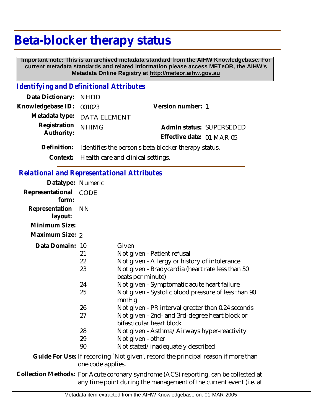## **Beta-blocker therapy status**

 **Important note: This is an archived metadata standard from the AIHW Knowledgebase. For current metadata standards and related information please access METeOR, the AIHW's Metadata Online Registry at http://meteor.aihw.gov.au**

## *Identifying and Definitional Attributes*

| Data Dictionary: NHDD    |                                                                  |                           |  |
|--------------------------|------------------------------------------------------------------|---------------------------|--|
| Knowledgebase ID: 001023 |                                                                  | Version number: 1         |  |
|                          | Metadata type: DATA ELEMENT                                      |                           |  |
| Registration             | <b>NHIMG</b>                                                     | Admin status: SUPERSEDED  |  |
| Authority:               |                                                                  | Effective date: 01-MAR-05 |  |
|                          | Definition: Identifies the person's beta-blocker therapy status. |                           |  |
|                          |                                                                  |                           |  |

**Context:** Health care and clinical settings.

## *Relational and Representational Attributes*

| Datatype: Numeric         |                            |                                                                                                                                                                                                                                                                              |
|---------------------------|----------------------------|------------------------------------------------------------------------------------------------------------------------------------------------------------------------------------------------------------------------------------------------------------------------------|
| Representational<br>form: | <b>CODE</b>                |                                                                                                                                                                                                                                                                              |
| Representation<br>layout: | <b>NN</b>                  |                                                                                                                                                                                                                                                                              |
| Minimum Size:             |                            |                                                                                                                                                                                                                                                                              |
| Maximum Size: 2           |                            |                                                                                                                                                                                                                                                                              |
| Data Domain: 10           | 21<br>22<br>23<br>24<br>25 | Given<br>Not given - Patient refusal<br>Not given - Allergy or history of intolerance<br>Not given - Bradycardia (heart rate less than 50<br>beats per minute)<br>Not given - Symptomatic acute heart failure<br>Not given - Systolic blood pressure of less than 90<br>mmHq |
|                           | 26                         | Not given - PR interval greater than 0.24 seconds                                                                                                                                                                                                                            |
|                           | 27                         | Not given - 2nd- and 3rd-degree heart block or<br>bifascicular heart block                                                                                                                                                                                                   |
|                           | 28                         | Not given - Asthma/Airways hyper-reactivity                                                                                                                                                                                                                                  |
|                           | 29                         | Not given - other                                                                                                                                                                                                                                                            |
|                           | 90                         | Not stated/inadequately described                                                                                                                                                                                                                                            |
|                           |                            | Guide For Use: If recording `Not given', record the principal reason if more than                                                                                                                                                                                            |

one code applies. Collection Methods: For Acute coronary syndrome (ACS) reporting, can be collected at any time point during the management of the current event (i.e. at